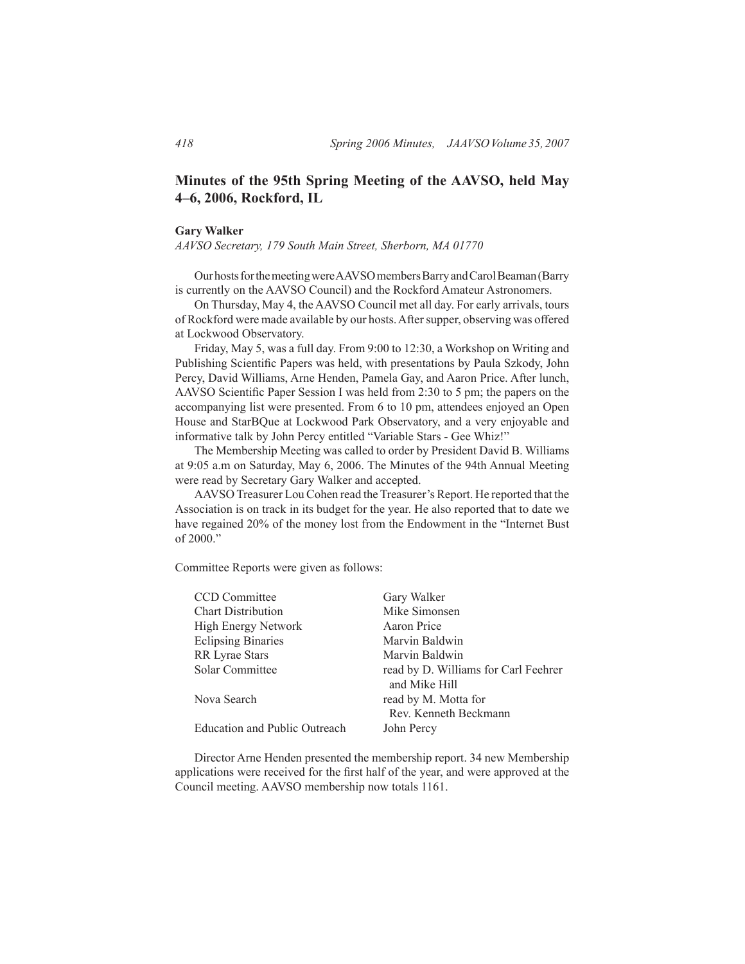# **Minutes of the 95th Spring Meeting of the AAVSO, held May 4–6, 2006, Rockford, IL**

#### **Gary Walker**

*AAVSO Secretary, 179 South Main Street, Sherborn, MA 01770*

Our hosts for the meeting were AAVSO members Barry and Carol Beaman (Barry is currently on the AAVSO Council) and the Rockford Amateur Astronomers.

 On Thursday, May 4, the AAVSO Council met all day. For early arrivals, tours of Rockford were made available by our hosts. After supper, observing was offered at Lockwood Observatory.

 Friday, May 5, was a full day. From 9:00 to 12:30, a Workshop on Writing and Publishing Scientific Papers was held, with presentations by Paula Szkody, John Percy, David Williams, Arne Henden, Pamela Gay, and Aaron Price. After lunch, AAVSO Scientific Paper Session I was held from 2:30 to 5 pm; the papers on the accompanying list were presented. From 6 to 10 pm, attendees enjoyed an Open House and StarBQue at Lockwood Park Observatory, and a very enjoyable and informative talk by John Percy entitled "Variable Stars - Gee Whiz!"

 The Membership Meeting was called to order by President David B. Williams at 9:05 a.m on Saturday, May 6, 2006. The Minutes of the 94th Annual Meeting were read by Secretary Gary Walker and accepted.

 AAVSO Treasurer Lou Cohen read the Treasurer's Report. He reported that the Association is on track in its budget for the year. He also reported that to date we have regained 20% of the money lost from the Endowment in the "Internet Bust of 2000."

Committee Reports were given as follows:

| CCD Committee                 | Gary Walker                          |
|-------------------------------|--------------------------------------|
| <b>Chart Distribution</b>     | Mike Simonsen                        |
| High Energy Network           | Aaron Price                          |
| <b>Eclipsing Binaries</b>     | Marvin Baldwin                       |
| <b>RR</b> Lyrae Stars         | Marvin Baldwin                       |
| Solar Committee               | read by D. Williams for Carl Feehrer |
|                               | and Mike Hill                        |
| Nova Search                   | read by M. Motta for                 |
|                               | Rev. Kenneth Beckmann                |
| Education and Public Outreach | John Percy                           |
|                               |                                      |

 Director Arne Henden presented the membership report. 34 new Membership applications were received for the first half of the year, and were approved at the Council meeting. AAVSO membership now totals 1161.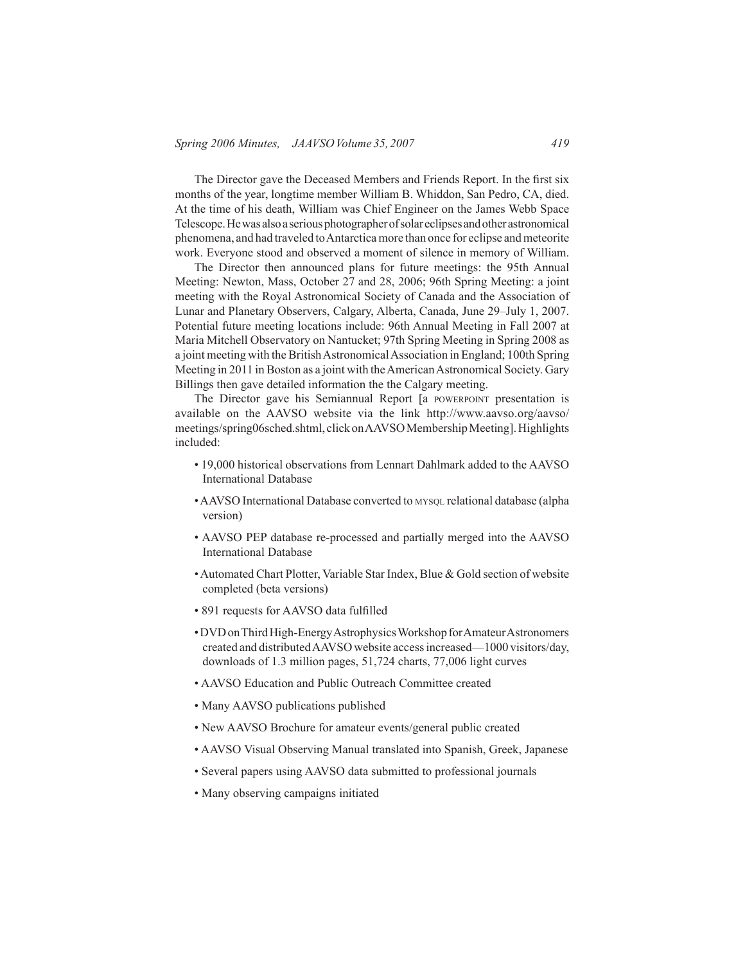The Director gave the Deceased Members and Friends Report. In the first six months of the year, longtime member William B. Whiddon, San Pedro, CA, died. At the time of his death, William was Chief Engineer on the James Webb Space Telescope.Hewasalsoaseriousphotographerofsolareclipsesandotherastronomical phenomena, and had traveled to Antarctica more than once for eclipse and meteorite work. Everyone stood and observed a moment of silence in memory of William.

 The Director then announced plans for future meetings: the 95th Annual Meeting: Newton, Mass, October 27 and 28, 2006; 96th Spring Meeting: a joint meeting with the Royal Astronomical Society of Canada and the Association of Lunar and Planetary Observers, Calgary, Alberta, Canada, June 29–July 1, 2007. Potential future meeting locations include: 96th Annual Meeting in Fall 2007 at Maria Mitchell Observatory on Nantucket; 97th Spring Meeting in Spring 2008 as a joint meeting with the British Astronomical Association in England; 100th Spring Meeting in 2011 in Boston as a joint with the American Astronomical Society. Gary Billings then gave detailed information the the Calgary meeting.

The Director gave his Semiannual Report [a POWERPOINT presentation is available on the AAVSO website via the link http://www.aavso.org/aavso/ meetings/spring06sched.shtml, click on AAVSO Membership Meeting]. Highlights included:

- 19,000 historical observations from Lennart Dahlmark added to the AAVSO International Database
- AAVSO International Database converted to MYSQL relational database (alpha version)
- AAVSO PEP database re-processed and partially merged into the AAVSO International Database
- Automated Chart Plotter, Variable Star Index, Blue & Gold section of website completed (beta versions)
- 891 requests for AAVSO data fulfilled
- DVD on Third High-Energy Astrophysics Workshop for Amateur Astronomers created and distributedAAVSO website accessincreased—1000 visitors/day, downloads of 1.3 million pages, 51,724 charts, 77,006 light curves
- AAVSO Education and Public Outreach Committee created
- Many AAVSO publications published
- New AAVSO Brochure for amateur events/general public created
- AAVSO Visual Observing Manual translated into Spanish, Greek, Japanese
- Several papers using AAVSO data submitted to professional journals
- Many observing campaigns initiated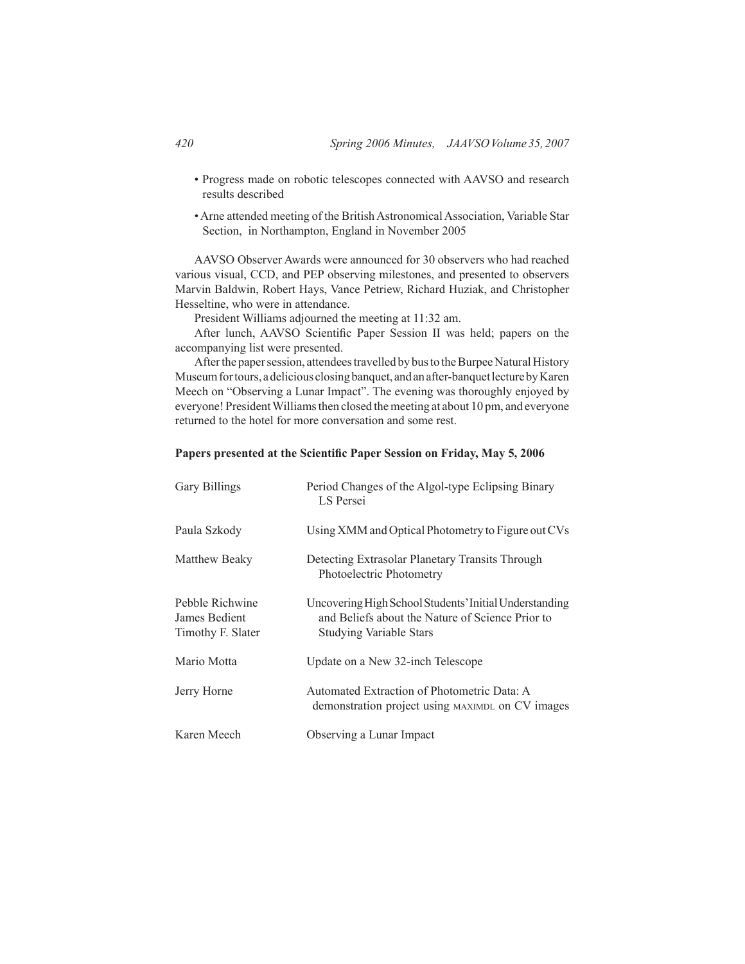- Progress made on robotic telescopes connected with AAVSO and research results described
- Arne attended meeting of the British Astronomical Association, Variable Star Section, in Northampton, England in November 2005

 AAVSO Observer Awards were announced for 30 observers who had reached various visual, CCD, and PEP observing milestones, and presented to observers Marvin Baldwin, Robert Hays, Vance Petriew, Richard Huziak, and Christopher Hesseltine, who were in attendance.

 President Williams adjourned the meeting at 11:32 am.

After lunch, AAVSO Scientific Paper Session II was held; papers on the accompanying list were presented.

After the paper session, attendees travelled by bus to the Burpee Natural History Museum for tours, a delicious closing banquet, and an after-banquet lecture by Karen Meech on "Observing a Lunar Impact". The evening was thoroughly enjoyed by everyone! President Williams then closed the meeting at about 10 pm, and everyone returned to the hotel for more conversation and some rest.

#### **Papers presented at the Scientific Paper Session on Friday, May 5, 2006**

| <b>Gary Billings</b>                                  | Period Changes of the Algol-type Eclipsing Binary<br>LS Persei                                                                               |
|-------------------------------------------------------|----------------------------------------------------------------------------------------------------------------------------------------------|
| Paula Szkody                                          | Using XMM and Optical Photometry to Figure out CVs                                                                                           |
| Matthew Beaky                                         | Detecting Extrasolar Planetary Transits Through<br>Photoelectric Photometry                                                                  |
| Pebble Richwine<br>James Bedient<br>Timothy F. Slater | Uncovering High School Students' Initial Understanding<br>and Beliefs about the Nature of Science Prior to<br><b>Studying Variable Stars</b> |
| Mario Motta                                           | Update on a New 32-inch Telescope                                                                                                            |
| Jerry Horne                                           | Automated Extraction of Photometric Data: A<br>demonstration project using MAXIMDL on CV images                                              |
| Karen Meech                                           | Observing a Lunar Impact                                                                                                                     |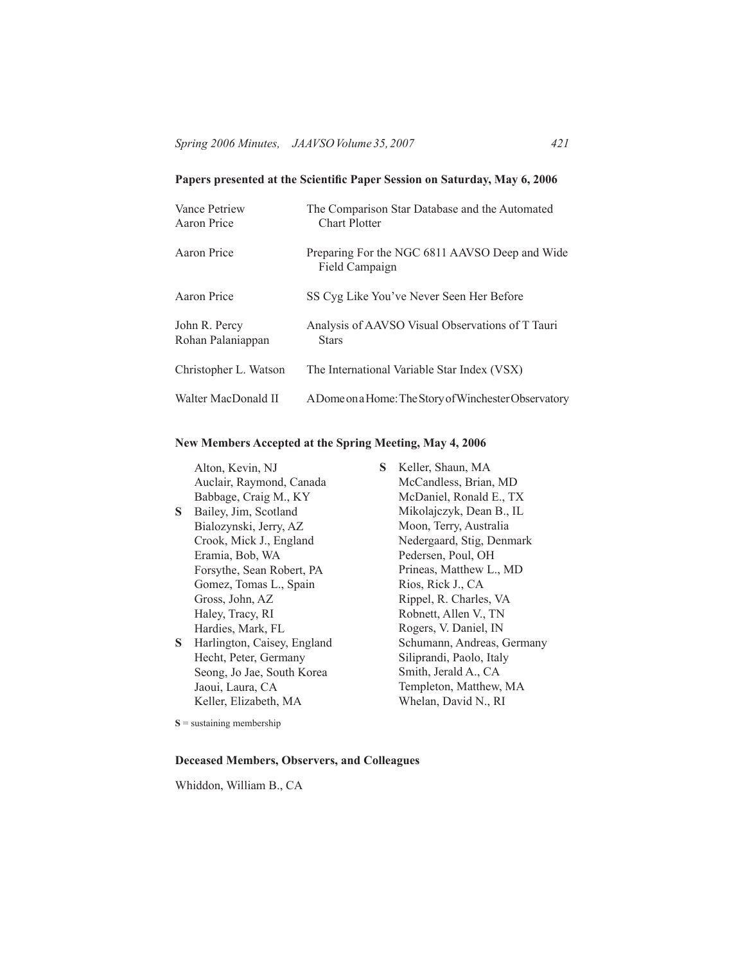## **Papers presented at the Scientific Paper Session on Saturday, May 6, 2006**

| Vance Petriew<br>Aaron Price       | The Comparison Star Database and the Automated<br><b>Chart Plotter</b> |
|------------------------------------|------------------------------------------------------------------------|
| Aaron Price                        | Preparing For the NGC 6811 AAVSO Deep and Wide<br>Field Campaign       |
| Aaron Price                        | SS Cyg Like You've Never Seen Her Before                               |
| John R. Percy<br>Rohan Palaniappan | Analysis of AAVSO Visual Observations of T Tauri<br><b>Stars</b>       |
| Christopher L. Watson              | The International Variable Star Index (VSX)                            |
| Walter MacDonald II                | A Dome on a Home: The Story of Winchester Observatory                  |

## **New Members Accepted at the Spring Meeting, May 4, 2006**

|    | Alton, Kevin, NJ            | S | Keller, Shaun, MA          |
|----|-----------------------------|---|----------------------------|
|    | Auclair, Raymond, Canada    |   | McCandless, Brian, MD      |
|    | Babbage, Craig M., KY       |   | McDaniel, Ronald E., TX    |
| S. | Bailey, Jim, Scotland       |   | Mikolajczyk, Dean B., IL   |
|    | Bialozynski, Jerry, AZ      |   | Moon, Terry, Australia     |
|    | Crook, Mick J., England     |   | Nedergaard, Stig, Denmark  |
|    | Eramia, Bob, WA             |   | Pedersen, Poul, OH         |
|    | Forsythe, Sean Robert, PA   |   | Prineas, Matthew L., MD    |
|    | Gomez, Tomas L., Spain      |   | Rios, Rick J., CA          |
|    | Gross, John, AZ             |   | Rippel, R. Charles, VA     |
|    | Haley, Tracy, RI            |   | Robnett, Allen V., TN      |
|    | Hardies, Mark, FL           |   | Rogers, V. Daniel, IN      |
| S  | Harlington, Caisey, England |   | Schumann, Andreas, Germany |
|    | Hecht, Peter, Germany       |   | Siliprandi, Paolo, Italy   |
|    | Seong, Jo Jae, South Korea  |   | Smith, Jerald A., CA       |
|    | Jaoui, Laura, CA            |   | Templeton, Matthew, MA     |

Whelan, David N., RI

**S** = sustaining membership

Keller, Elizabeth, MA

#### **Deceased Members, Observers, and Colleagues**

Whiddon, William B., CA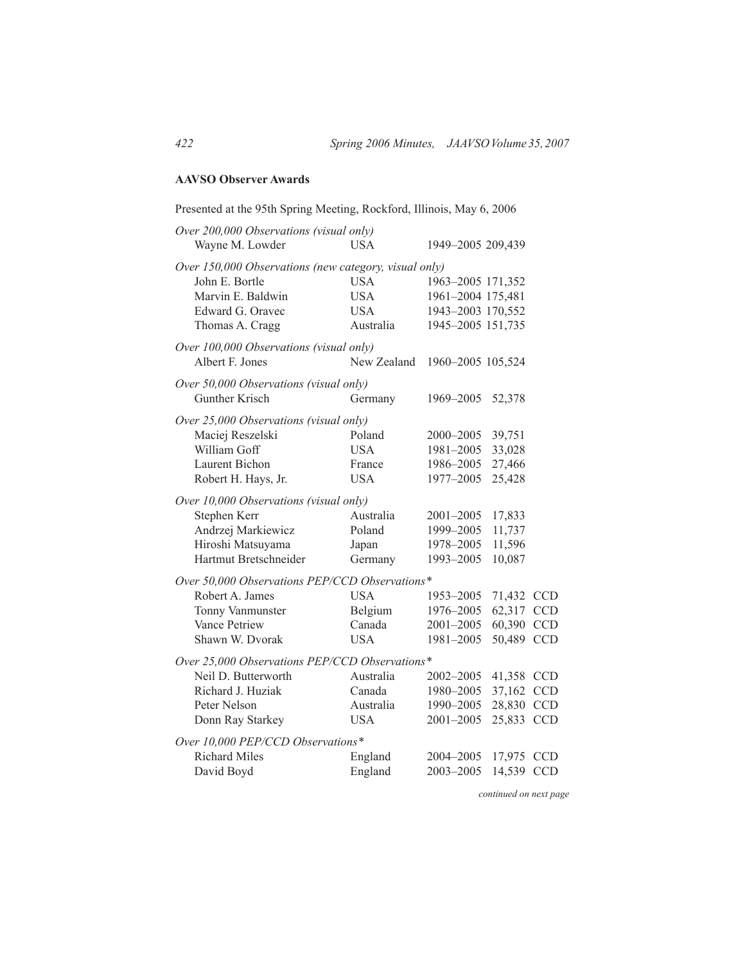### **AAVSO Observer Awards**

| Presented at the 95th Spring Meeting, Rockford, Illinois, May 6, 2006                                      |             |                   |            |            |
|------------------------------------------------------------------------------------------------------------|-------------|-------------------|------------|------------|
| Over 200,000 Observations (visual only)<br>Wayne M. Lowder                                                 | <b>USA</b>  | 1949-2005 209,439 |            |            |
| Over 150,000 Observations (new category, visual only)<br>John E. Bortle<br><b>USA</b><br>1963-2005 171,352 |             |                   |            |            |
| Marvin E. Baldwin                                                                                          | <b>USA</b>  | 1961-2004 175,481 |            |            |
| Edward G. Oravec                                                                                           | <b>USA</b>  | 1943-2003 170,552 |            |            |
| Thomas A. Cragg                                                                                            | Australia   | 1945-2005 151,735 |            |            |
| Over 100,000 Observations (visual only)                                                                    |             |                   |            |            |
| Albert F. Jones                                                                                            | New Zealand | 1960-2005 105,524 |            |            |
| Over 50,000 Observations (visual only)                                                                     |             |                   |            |            |
| Gunther Krisch                                                                                             | Germany     | 1969-2005         | 52,378     |            |
| Over 25,000 Observations (visual only)                                                                     |             |                   |            |            |
| Maciej Reszelski                                                                                           | Poland      | 2000-2005         | 39,751     |            |
| William Goff                                                                                               | <b>USA</b>  | 1981-2005         | 33,028     |            |
| Laurent Bichon                                                                                             | France      | 1986-2005         | 27,466     |            |
| Robert H. Hays, Jr.                                                                                        | USA.        | 1977-2005         | 25,428     |            |
| Over 10,000 Observations (visual only)                                                                     |             |                   |            |            |
| Stephen Kerr                                                                                               | Australia   | 2001-2005         | 17,833     |            |
| Andrzej Markiewicz                                                                                         | Poland      | 1999-2005         | 11,737     |            |
| Hiroshi Matsuyama                                                                                          | Japan       | 1978-2005         | 11,596     |            |
| Hartmut Bretschneider                                                                                      | Germany     | 1993-2005         | 10,087     |            |
| Over 50,000 Observations PEP/CCD Observations*                                                             |             |                   |            |            |
| Robert A. James                                                                                            | <b>USA</b>  | 1953-2005         | 71,432 CCD |            |
| Tonny Vanmunster                                                                                           | Belgium     | 1976-2005         | 62,317     | <b>CCD</b> |
| Vance Petriew                                                                                              | Canada      | 2001-2005         | 60,390     | <b>CCD</b> |
| Shawn W. Dvorak                                                                                            | <b>USA</b>  | 1981-2005         | 50,489     | <b>CCD</b> |
| Over 25,000 Observations PEP/CCD Observations*                                                             |             |                   |            |            |
| Neil D. Butterworth                                                                                        | Australia   | 2002-2005         | 41,358     | <b>CCD</b> |
| Richard J. Huziak                                                                                          | Canada      | 1980-2005         | 37,162     | <b>CCD</b> |
| Peter Nelson                                                                                               | Australia   | 1990-2005         | 28,830 CCD |            |
| Donn Ray Starkey                                                                                           | <b>USA</b>  | 2001-2005         | 25,833     | <b>CCD</b> |
| Over 10,000 PEP/CCD Observations*                                                                          |             |                   |            |            |
| <b>Richard Miles</b>                                                                                       | England     | 2004-2005         | 17,975     | <b>CCD</b> |
| David Boyd                                                                                                 | England     | 2003-2005         | 14,539     | <b>CCD</b> |
|                                                                                                            |             |                   |            |            |

*continued on next page*